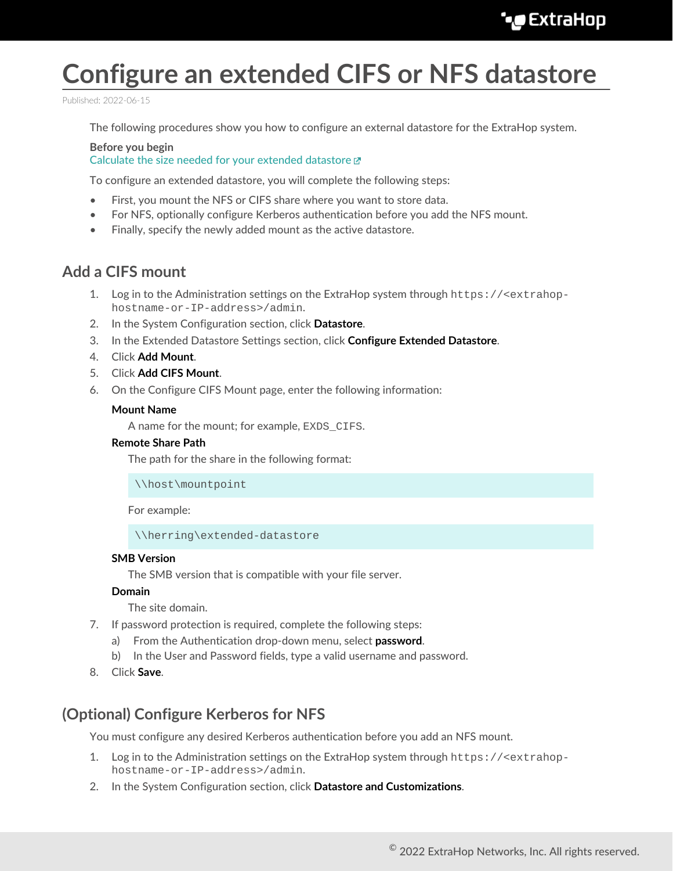# **Configure an extended CIFS or NFS datastore**

Published: 2022-06-15

The following procedures show you how to configure an external datastore for the ExtraHop system.

**Before you begin** [Calculate the size needed for your extended datastore](https://docs.extrahop.com/8.9/calculate_datastore) E

To configure an extended datastore, you will complete the following steps:

- First, you mount the NFS or CIFS share where you want to store data.
- For NFS, optionally configure Kerberos authentication before you add the NFS mount.
- Finally, specify the newly added mount as the active datastore.

# **Add a CIFS mount**

- 1. Log in to the Administration settings on the ExtraHop system through https://<extrahophostname-or-IP-address>/admin.
- 2. In the System Configuration section, click **Datastore**.
- 3. In the Extended Datastore Settings section, click **Configure Extended Datastore**.
- 4. Click **Add Mount**.
- 5. Click **Add CIFS Mount**.
- 6. On the Configure CIFS Mount page, enter the following information:

### **Mount Name**

A name for the mount; for example, EXDS\_CIFS.

### **Remote Share Path**

The path for the share in the following format:

\\host\mountpoint

For example:

\\herring\extended-datastore

### **SMB Version**

The SMB version that is compatible with your file server.

### **Domain**

The site domain.

- 7. If password protection is required, complete the following steps:
	- a) From the Authentication drop-down menu, select **password**.
	- b) In the User and Password fields, type a valid username and password.
- 8. Click **Save**.

# **(Optional) Configure Kerberos for NFS**

You must configure any desired Kerberos authentication before you add an NFS mount.

- 1. Log in to the Administration settings on the ExtraHop system through https://<extrahophostname-or-IP-address>/admin.
- 2. In the System Configuration section, click **Datastore and Customizations**.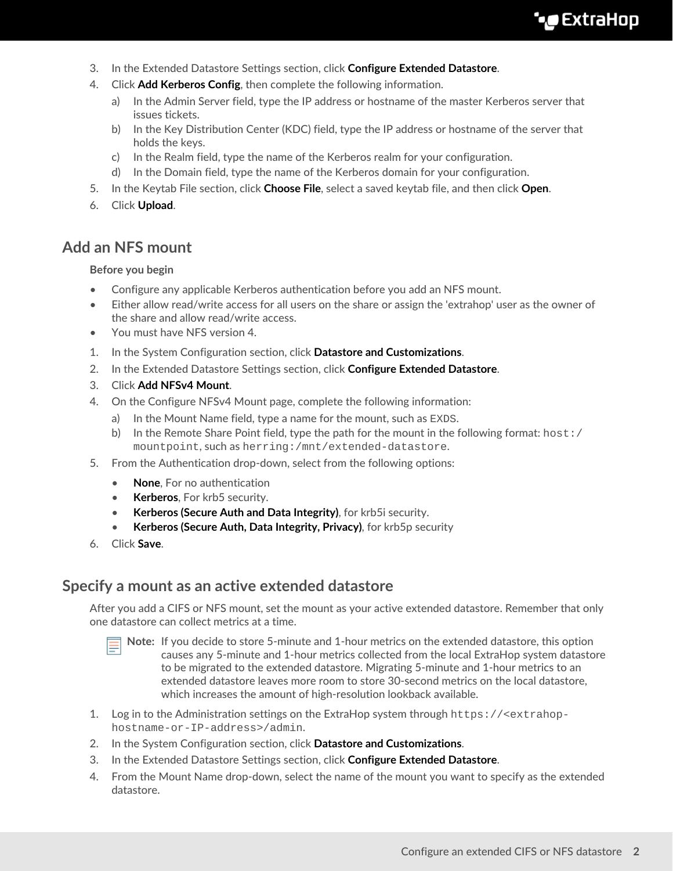# **∙.e** ExtraHop

- 3. In the Extended Datastore Settings section, click **Configure Extended Datastore**.
- 4. Click **Add Kerberos Config**, then complete the following information.
	- a) In the Admin Server field, type the IP address or hostname of the master Kerberos server that issues tickets.
	- b) In the Key Distribution Center (KDC) field, type the IP address or hostname of the server that holds the keys.
	- c) In the Realm field, type the name of the Kerberos realm for your configuration.
	- d) In the Domain field, type the name of the Kerberos domain for your configuration.
- 5. In the Keytab File section, click **Choose File**, select a saved keytab file, and then click **Open**.
- 6. Click **Upload**.

## **Add an NFS mount**

### **Before you begin**

- Configure any applicable Kerberos authentication before you add an NFS mount.
- Either allow read/write access for all users on the share or assign the 'extrahop' user as the owner of the share and allow read/write access.
- You must have NFS version 4.
- 1. In the System Configuration section, click **Datastore and Customizations**.
- 2. In the Extended Datastore Settings section, click **Configure Extended Datastore**.
- 3. Click **Add NFSv4 Mount**.
- 4. On the Configure NFSv4 Mount page, complete the following information:
	- a) In the Mount Name field, type a name for the mount, such as EXDS.
	- b) In the Remote Share Point field, type the path for the mount in the following format:  $host: /$ mountpoint, such as herring:/mnt/extended-datastore.
- 5. From the Authentication drop-down, select from the following options:
	- **None**, For no authentication
	- **Kerberos**, For krb5 security.
	- **Kerberos (Secure Auth and Data Integrity)**, for krb5i security.
	- **Kerberos (Secure Auth, Data Integrity, Privacy)**, for krb5p security
- 6. Click **Save**.

### **Specify a mount as an active extended datastore**

After you add a CIFS or NFS mount, set the mount as your active extended datastore. Remember that only one datastore can collect metrics at a time.

- 
- **Note:** If you decide to store 5-minute and 1-hour metrics on the extended datastore, this option causes any 5-minute and 1-hour metrics collected from the local ExtraHop system datastore to be migrated to the extended datastore. Migrating 5-minute and 1-hour metrics to an extended datastore leaves more room to store 30-second metrics on the local datastore, which increases the amount of high-resolution lookback available.
- 1. Log in to the Administration settings on the ExtraHop system through https://<extrahophostname-or-IP-address>/admin.
- 2. In the System Configuration section, click **Datastore and Customizations**.
- 3. In the Extended Datastore Settings section, click **Configure Extended Datastore**.
- 4. From the Mount Name drop-down, select the name of the mount you want to specify as the extended datastore.